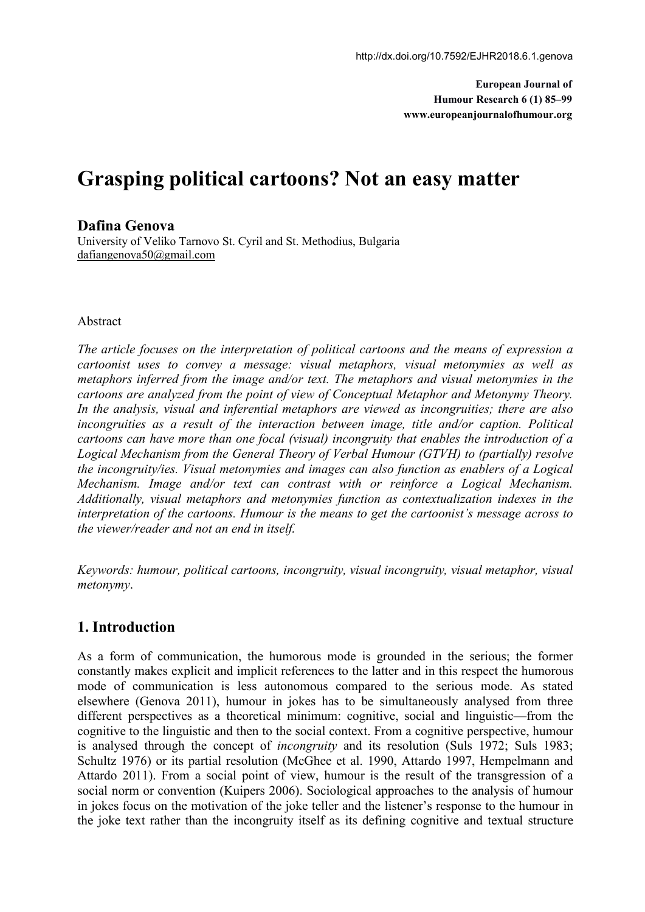**European Journal of Humour Research 6 (1) 85–99 www.europeanjournalofhumour.org**

# **Grasping political cartoons? Not an easy matter**

### **Dafina Genova**

University of Veliko Tarnovo St. Cyril and St. Methodius, Bulgaria [dafiangenova50@gmail.com](mailto:dafiangenova50@gmail.com)

#### Abstract

*The article focuses on the interpretation of political cartoons and the means of expression a cartoonist uses to convey a message: visual metaphors, visual metonymies as well as metaphors inferred from the image and/or text. The metaphors and visual metonymies in the cartoons are analyzed from the point of view of Conceptual Metaphor and Metonymy Theory. In the analysis, visual and inferential metaphors are viewed as incongruities; there are also incongruities as a result of the interaction between image, title and/or caption. Political cartoons can have more than one focal (visual) incongruity that enables the introduction of a Logical Mechanism from the General Theory of Verbal Humour (GTVH) to (partially) resolve the incongruity/ies. Visual metonymies and images can also function as enablers of a Logical Mechanism. Image and/or text can contrast with or reinforce a Logical Mechanism. Additionally, visual metaphors and metonymies function as contextualization indexes in the interpretation of the cartoons. Humour is the means to get the cartoonist's message across to the viewer/reader and not an end in itself.*

*Keywords: humour, political cartoons, incongruity, visual incongruity, visual metaphor, visual metonymy*.

# **1. Introduction**

As a form of communication, the humorous mode is grounded in the serious; the former constantly makes explicit and implicit references to the latter and in this respect the humorous mode of communication is less autonomous compared to the serious mode. As stated elsewhere (Genova 2011), humour in jokes has to be simultaneously analysed from three different perspectives as a theoretical minimum: cognitive, social and linguistic—from the cognitive to the linguistic and then to the social context. From a cognitive perspective, humour is analysed through the concept of *incongruity* and its resolution (Suls 1972; Suls 1983; Schultz 1976) or its partial resolution (McGhee et al. 1990, Attardo 1997, Hempelmann and Attardo 2011). From a social point of view, humour is the result of the transgression of a social norm or convention (Kuipers 2006). Sociological approaches to the analysis of humour in jokes focus on the motivation of the joke teller and the listener's response to the humour in the joke text rather than the incongruity itself as its defining cognitive and textual structure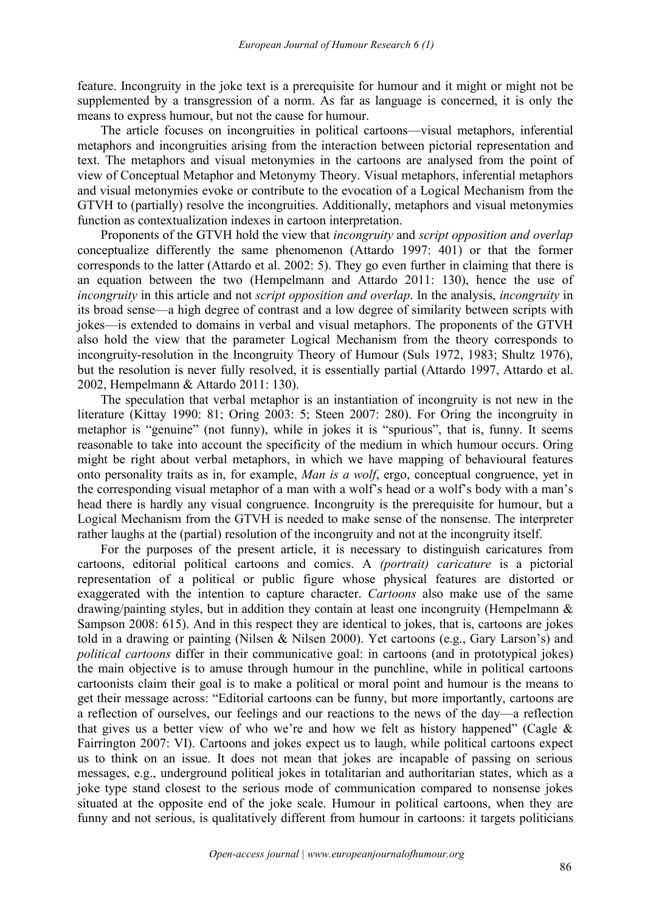feature. Incongruity in the joke text is a prerequisite for humour and it might or might not be supplemented by a transgression of a norm. As far as language is concerned, it is only the means to express humour, but not the cause for humour.

The article focuses on incongruities in political cartoons—visual metaphors, inferential metaphors and incongruities arising from the interaction between pictorial representation and text. The metaphors and visual metonymies in the cartoons are analysed from the point of view of Conceptual Metaphor and Metonymy Theory. Visual metaphors, inferential metaphors and visual metonymies evoke or contribute to the evocation of a Logical Mechanism from the GTVH to (partially) resolve the incongruities. Additionally, metaphors and visual metonymies function as contextualization indexes in cartoon interpretation.

Proponents of the GTVH hold the view that *incongruity* and *script opposition and overlap* conceptualize differently the same phenomenon (Attardo 1997: 401) or that the former corresponds to the latter (Attardo et al. 2002: 5). They go even further in claiming that there is an equation between the two (Hempelmann and Attardo 2011: 130), hence the use of *incongruity* in this article and not *script opposition and overlap*. In the analysis, *incongruity* in its broad sense—a high degree of contrast and a low degree of similarity between scripts with jokes—is extended to domains in verbal and visual metaphors. The proponents of the GTVH also hold the view that the parameter Logical Mechanism from the theory corresponds to incongruity-resolution in the Incongruity Theory of Humour (Suls 1972, 1983; Shultz 1976), but the resolution is never fully resolved, it is essentially partial (Attardo 1997, Attardo et al. 2002, Hempelmann & Attardo 2011: 130).

The speculation that verbal metaphor is an instantiation of incongruity is not new in the literature (Kittay 1990: 81; Oring 2003: 5; Steen 2007: 280). For Oring the incongruity in metaphor is "genuine" (not funny), while in jokes it is "spurious", that is, funny. It seems reasonable to take into account the specificity of the medium in which humour occurs. Oring might be right about verbal metaphors, in which we have mapping of behavioural features onto personality traits as in, for example, *Man is a wolf*, ergo, conceptual congruence, yet in the corresponding visual metaphor of a man with a wolf's head or a wolf's body with a man's head there is hardly any visual congruence. Incongruity is the prerequisite for humour, but a Logical Mechanism from the GTVH is needed to make sense of the nonsense. The interpreter rather laughs at the (partial) resolution of the incongruity and not at the incongruity itself.

For the purposes of the present article, it is necessary to distinguish caricatures from cartoons, editorial political cartoons and comics. A *(portrait) caricature* is a pictorial representation of a political or public figure whose physical features are distorted or exaggerated with the intention to capture character. *Cartoons* also make use of the same drawing/painting styles, but in addition they contain at least one incongruity (Hempelmann  $\&$ Sampson 2008: 615). And in this respect they are identical to jokes, that is, cartoons are jokes told in a drawing or painting (Nilsen & Nilsen 2000). Yet cartoons (e.g., Gary Larson's) and *political cartoons* differ in their communicative goal: in cartoons (and in prototypical jokes) the main objective is to amuse through humour in the punchline, while in political cartoons cartoonists claim their goal is to make a political or moral point and humour is the means to get their message across: "Editorial cartoons can be funny, but more importantly, cartoons are a reflection of ourselves, our feelings and our reactions to the news of the day—a reflection that gives us a better view of who we're and how we felt as history happened" (Cagle  $\&$ Fairrington 2007: VI). Cartoons and jokes expect us to laugh, while political cartoons expect us to think on an issue. It does not mean that jokes are incapable of passing on serious messages, e.g., underground political jokes in totalitarian and authoritarian states, which as a joke type stand closest to the serious mode of communication compared to nonsense jokes situated at the opposite end of the joke scale. Humour in political cartoons, when they are funny and not serious, is qualitatively different from humour in cartoons: it targets politicians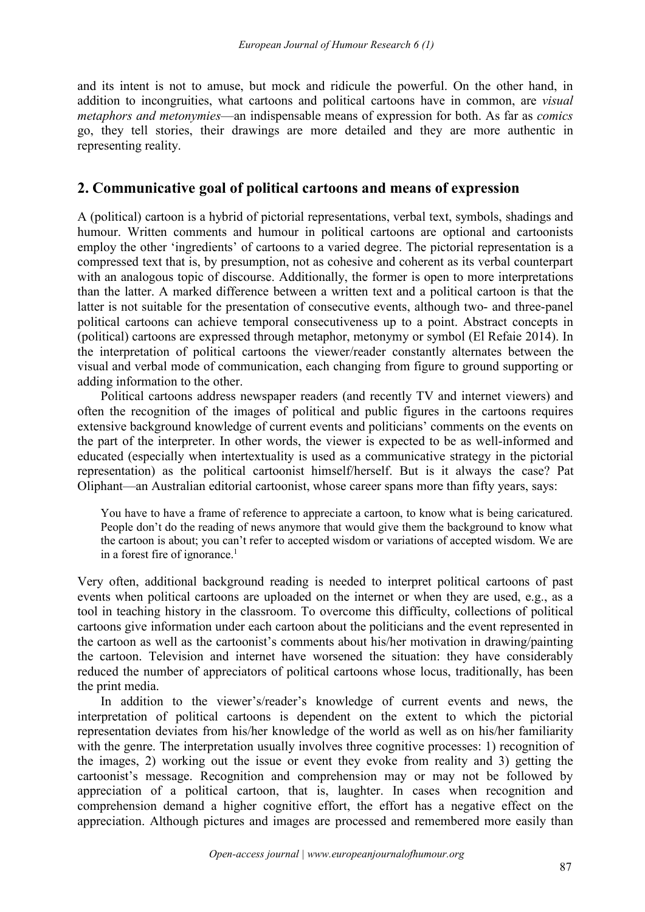and its intent is not to amuse, but mock and ridicule the powerful. On the other hand, in addition to incongruities, what cartoons and political cartoons have in common, are *visual metaphors and metonymies*—an indispensable means of expression for both. As far as *comics* go, they tell stories, their drawings are more detailed and they are more authentic in representing reality.

# **2. Communicative goal of political cartoons and means ofexpression**

A (political) cartoon is a hybrid of pictorial representations, verbal text, symbols, shadings and humour. Written comments and humour in political cartoons are optional and cartoonists employ the other 'ingredients' of cartoons to a varied degree. The pictorial representation is a compressed text that is,by presumption, not as cohesive and coherent as its verbal counterpart with an analogous topic of discourse. Additionally, the former is open to more interpretations than the latter. A marked difference between a written text and a political cartoon is that the latter is not suitable for the presentation of consecutive events, although two- and three-panel political cartoons can achieve temporal consecutiveness up to a point.Abstract concepts in (political) cartoons are expressed through metaphor, metonymy or symbol (El Refaie 2014). In the interpretation of political cartoons the viewer/reader constantly alternates between the visual and verbal mode of communication, each changing from figure to ground supporting or adding information to the other.

Political cartoons address newspaper readers (and recently TV and internet viewers) and often the recognition of the images of political and public figures in the cartoons requires extensive background knowledge of current events and politicians' comments on the events on the part of the interpreter. In other words, the viewer is expected to be as well-informed and educated (especially when intertextuality is used as a communicative strategy in the pictorial representation) as the political cartoonist himself/herself. But is it always the case? Pat Oliphant—an Australian editorial cartoonist, whose career spans more than fifty years, says:

You have to have a frame of reference to appreciate a cartoon, to know what is being caricatured. People don't do the reading of news anymore that would give them the background to know what the cartoon is about; you can't refer to accepted wisdom or variations of accepted wisdom. We are in a forest fire of ignorance.<sup>1</sup>

Very often, additional background reading is needed to interpret political cartoons of past events when political cartoons are uploaded on the internet or when they are used, e.g., as a tool in teaching history in the classroom. To overcome this difficulty, collections of political cartoons give information under each cartoon about the politicians and the event represented in the cartoon as well as the cartoonist's comments about his/her motivation in drawing/painting the cartoon. Television and internet have worsened the situation: they have considerably reduced the number of appreciators of political cartoons whose locus, traditionally, has been the print media.

In addition to the viewer's/reader's knowledge of current events and news, the interpretation of political cartoons is dependent on the extent to which the pictorial representation deviates from his/her knowledge of the world as well as on his/her familiarity with the genre. The interpretation usually involves three cognitive processes: 1) recognition of the images, 2) working out the issue or event they evoke from reality and 3) getting the cartoonist's message. Recognition and comprehension may or may not be followed by appreciation of a political cartoon, that is, laughter. In cases when recognition and comprehension demand a higher cognitive effort, the effort has a negative effect on the appreciation. Although pictures and images are processed and remembered more easily than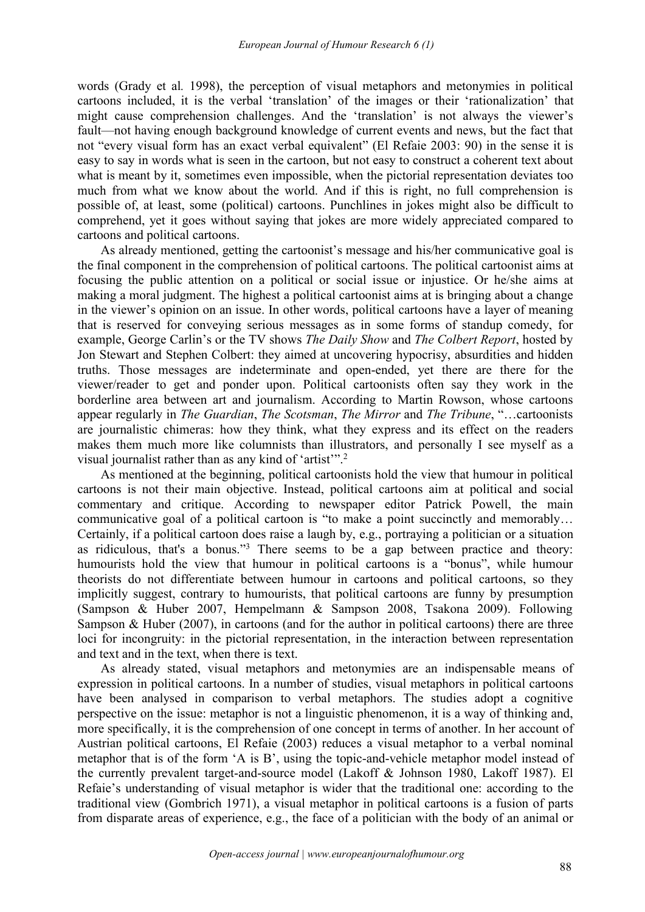words (Grady et al*.* 1998), the perception of visual metaphors and metonymies in political cartoons included, it is the verbal 'translation' of the images or their 'rationalization' that might cause comprehension challenges. And the 'translation' is not always the viewer's fault—not having enough background knowledge of current events and news, but the fact that not "every visual form has an exact verbal equivalent" (El Refaie 2003: 90) in the sense it is easy to say in words what is seen in the cartoon, but not easy to construct a coherent text about what is meant by it, sometimes even impossible, when the pictorial representation deviates too much from what we know about the world. And if this is right, no full comprehension is possible of, at least, some (political) cartoons. Punchlines in jokes might also be difficult to comprehend, yet it goes without saying that jokes are more widely appreciated compared to cartoons and political cartoons.

As already mentioned, getting the cartoonist's message and his/her communicative goal is the final component in the comprehension of political cartoons. The political cartoonist aims at focusing the public attention on a political or social issue or injustice. Or he/she aims at making a moral judgment. The highest a political cartoonist aims at is bringing about a change in the viewer's opinion on an issue. In other words, political cartoons have a layer of meaning that is reserved for conveying serious messages as in some forms of standup comedy, for example, George Carlin's or the TV shows *The Daily Show* and *The Colbert Report*, hosted by Jon Stewart and Stephen Colbert: they aimed at uncovering hypocrisy, absurdities and hidden truths. Those messages are indeterminate and open-ended, yet there are there for the viewer/reader to get and ponder upon. Political cartoonists often say they work in the borderline area between art and journalism. According to Martin Rowson, whose cartoons appear regularly in *The Guardian*, *The Scotsman*, *The Mirror* and *The Tribune*,"…cartoonists are journalistic chimeras: how they think, what they express and its effect on the readers makes them much more like columnists than illustrators, and personally I see myself as a visual journalist rather than as any kind of 'artist'".<sup>2</sup>

As mentioned at the beginning, political cartoonists hold the view that humour in political cartoons is not their main objective. Instead, political cartoons aim at political and social commentary and critique. According to newspaper editor Patrick Powell, the main communicative goal of a political cartoon is "to make a point succinctly and memorably… Certainly, if a political cartoon does raise a laugh by, e.g., portraying a politician or a situation as ridiculous, that's a bonus." <sup>3</sup> There seems to be a gap between practice and theory: humourists hold the view that humour in political cartoons is a "bonus", while humour theorists do not differentiate between humour in cartoons and political cartoons, so they implicitly suggest, contrary to humourists, that political cartoons are funny by presumption (Sampson & Huber 2007, Hempelmann & Sampson 2008, Tsakona 2009). Following Sampson & Huber (2007), in cartoons (and for the author in political cartoons) there are three loci for incongruity: in the pictorial representation, in the interaction between representation and text and in the text, when there is text.

As already stated, visual metaphors and metonymies are an indispensable means of expression in political cartoons. In a number of studies, visual metaphors in political cartoons have been analysed in comparison to verbal metaphors. The studies adopt a cognitive perspective on the issue: metaphor is not a linguistic phenomenon, it is a way of thinking and, more specifically, it is the comprehension of one concept in terms of another. In her account of Austrian political cartoons, El Refaie (2003) reduces a visual metaphor to a verbal nominal metaphor that is of the form 'A is B', using the topic-and-vehicle metaphor model instead of the currently prevalent target-and-source model (Lakoff & Johnson 1980, Lakoff 1987). El Refaie's understanding of visual metaphor is wider that the traditional one: according to the traditional view (Gombrich 1971), a visual metaphor in political cartoons is a fusion of parts from disparate areas of experience, e.g., the face of a politician with the body of an animal or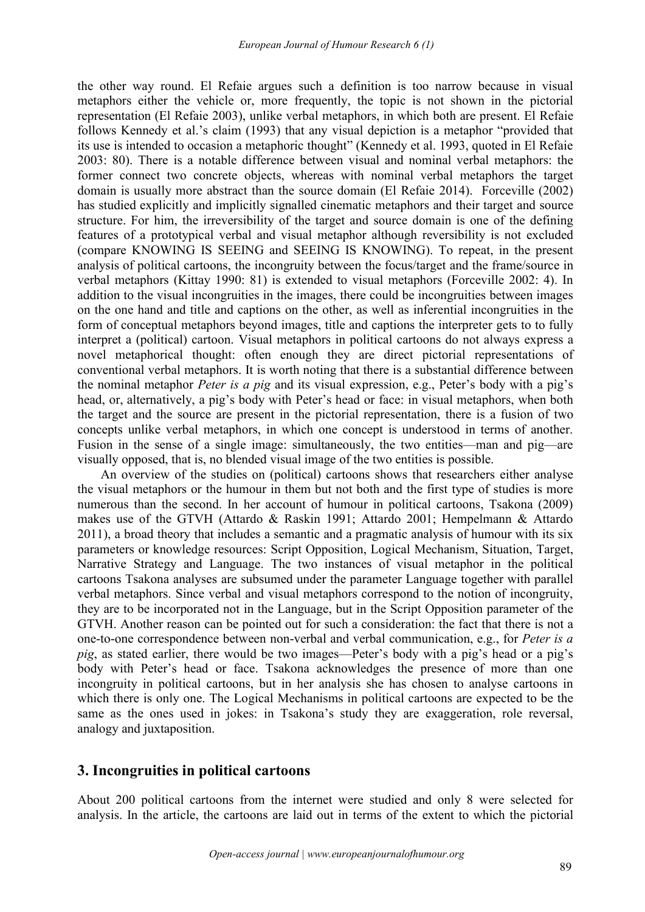the other way round. El Refaie argues such a definition is too narrow because in visual metaphors either the vehicle or, more frequently, the topic is not shown in the pictorial representation (El Refaie 2003), unlike verbal metaphors, in which both are present. El Refaie follows Kennedy et al.'s claim (1993) that any visual depiction is a metaphor "provided that its use is intended to occasion a metaphoric thought" (Kennedy et al. 1993, quoted in El Refaie 2003: 80). There is a notable difference between visual and nominal verbal metaphors: the former connect two concrete objects, whereas with nominal verbal metaphors the target domain is usually more abstract than the source domain (El Refaie 2014). Forceville (2002) has studied explicitly and implicitly signalled cinematic metaphors and their target and source structure. For him, the irreversibility of the target and source domain is one of the defining features of a prototypical verbal and visual metaphor although reversibility is not excluded (compare KNOWING IS SEEING and SEEING IS KNOWING). To repeat, in the present analysis of political cartoons, the incongruity between the focus/target and the frame/source in verbal metaphors (Kittay 1990: 81) is extended to visual metaphors (Forceville 2002: 4). In addition to the visual incongruities in the images, there could be incongruities between images on the one hand and title and captions on the other, as well as inferential incongruities in the form of conceptual metaphors beyond images, title and captions the interpreter gets to to fully interpret a (political) cartoon. Visual metaphors in political cartoons do not always express a novel metaphorical thought: often enough they are direct pictorial representations of conventional verbal metaphors. It is worth noting that there is a substantial difference between the nominal metaphor *Peter is a pig* and its visual expression, e.g., Peter's body with a pig's head, or, alternatively, a pig's body with Peter's head or face: in visual metaphors, when both the target and the source are present in the pictorial representation, there is a fusion of two concepts unlike verbal metaphors, in which one concept is understood in terms of another. Fusion in the sense of a single image: simultaneously, the two entities—man and pig—are visually opposed, that is, no blended visual image of the two entities is possible.

An overview of the studies on (political) cartoons shows that researchers either analyse the visual metaphors or the humour in them but not both and the first type of studies is more numerous than the second. In her account of humour in political cartoons, Tsakona (2009) makes use of the GTVH (Attardo & Raskin 1991; Attardo 2001; Hempelmann & Attardo 2011), a broad theory that includes a semantic and a pragmatic analysis of humour with its six parameters or knowledge resources: Script Opposition, Logical Mechanism, Situation, Target, Narrative Strategy and Language. The two instances of visual metaphor in the political cartoons Tsakona analyses are subsumed under the parameter Language together with parallel verbal metaphors. Since verbal and visual metaphors correspond to the notion of incongruity, they are to be incorporated not in the Language, but in the Script Opposition parameter of the GTVH. Another reason can be pointed out for such a consideration: the fact that there is not a one-to-one correspondence between non-verbal and verbal communication, e.g., for *Peter is a pig*, as stated earlier, there would be two images—Peter's body with a pig's head or a pig's body with Peter's head or face. Tsakona acknowledges the presence of more than one incongruity in political cartoons, but in her analysis she has chosen to analyse cartoons in which there is only one. The Logical Mechanisms in political cartoons are expected to be the same as the ones used in jokes: in Tsakona's study they are exaggeration, role reversal, analogy and juxtaposition.

#### **3. Incongruities in political cartoons**

About 200 political cartoons from the internet were studied and only 8 were selected for analysis. In the article, the cartoons are laid out in terms of the extent to which the pictorial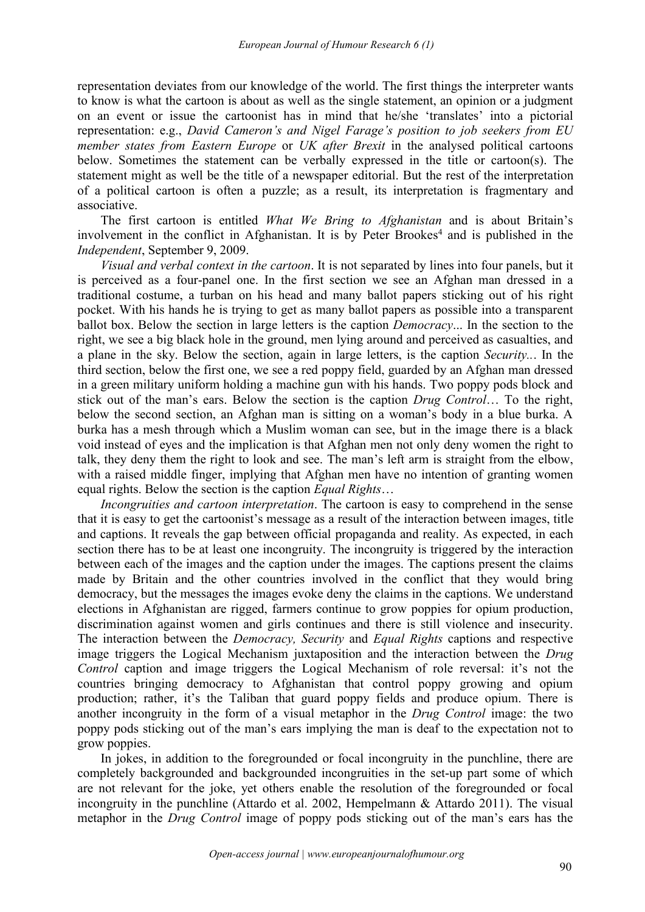representation deviates from our knowledge of the world. The first things the interpreter wants to know is what the cartoon is about as well as the single statement, an opinion or a judgment on an event or issue the cartoonist has in mind that he/she 'translates' into a pictorial representation: e.g., *David Cameron's and Nigel Farage's position to job seekers from EU member states from Eastern Europe* or *UK after Brexit* in the analysed political cartoons below. Sometimes the statement can be verbally expressed in the title or cartoon(s). The statement might as well be the title of a newspaper editorial. But the rest of the interpretation of a political cartoon is often a puzzle; as a result, its interpretation is fragmentary and associative.

The first cartoon is entitled *What We Bring to Afghanistan* and is about Britain's involvement in the conflict in Afghanistan. It is by Peter Brookes <sup>4</sup> and is published in the *Independent*, September 9, 2009.

*Visual and verbal context in the cartoon*. It is not separated by linesinto four panels, but it is perceived as a four-panel one. In the first section we see an Afghan man dressed in a traditional costume, a turban on his head and many ballot papers sticking out of his right pocket. With his hands he is trying to get as many ballot papers as possible into a transparent ballot box. Below the section in large letters is the caption *Democracy*... In the section to the right, we see a big black hole in the ground, men lying around and perceived as casualties, and a plane in the sky. Below the section, again in large letters, is the caption *Security..*. In the third section, below the first one, we see a red poppy field, guarded by an Afghan man dressed in a green military uniform holding a machine gun with his hands. Two poppy pods block and stick out of the man's ears. Below the section is the caption *Drug Control*… To the right, below the second section, an Afghan man is sitting on a woman's body in a blue burka. A burka has a mesh through which a Muslim woman can see, but in the image there is a black void instead of eyes and the implication is that Afghan men not only deny women the right to talk, they deny them the right to look and see. The man's left arm is straight from the elbow, with a raised middle finger, implying that Afghan men have no intention of granting women equal rights. Below the section is the caption *Equal Rights*…

*Incongruities and cartoon interpretation*. The cartoon is easy to comprehend in the sense that it is easy to get the cartoonist's message as a result of the interaction between images, title and captions. It reveals the gap between official propaganda and reality. As expected, in each section there has to be at least one incongruity. The incongruity is triggered by the interaction between each of the images and the caption under the images. The captions present the claims made by Britain and the other countries involved in the conflict that they would bring democracy, but the messages the images evoke deny the claims in the captions. We understand elections in Afghanistan are rigged, farmers continue to grow poppies for opium production, discrimination against women and girls continues and there is still violence and insecurity. The interaction between the *Democracy, Security* and *Equal Rights* captions and respective image triggers the Logical Mechanism juxtaposition and the interaction between the *Drug Control* caption and image triggers the Logical Mechanism of role reversal: it's not the countries bringing democracy to Afghanistan that control poppy growing and opium production; rather, it's the Taliban that guard poppy fields and produce opium. There is another incongruity in the form of a visual metaphor in the *Drug Control* image: the two poppy pods sticking out of the man's ears implying the man is deaf to the expectation not to grow poppies.

In jokes, in addition to the foregrounded or focal incongruity in the punchline, there are completely backgrounded and backgrounded incongruities in the set-up part some of which are not relevant for the joke, yet others enable the resolution of the foregrounded or focal incongruity in the punchline (Attardo et al. 2002, Hempelmann & Attardo 2011). The visual metaphor in the *Drug Control* image of poppy pods sticking out of the man's ears has the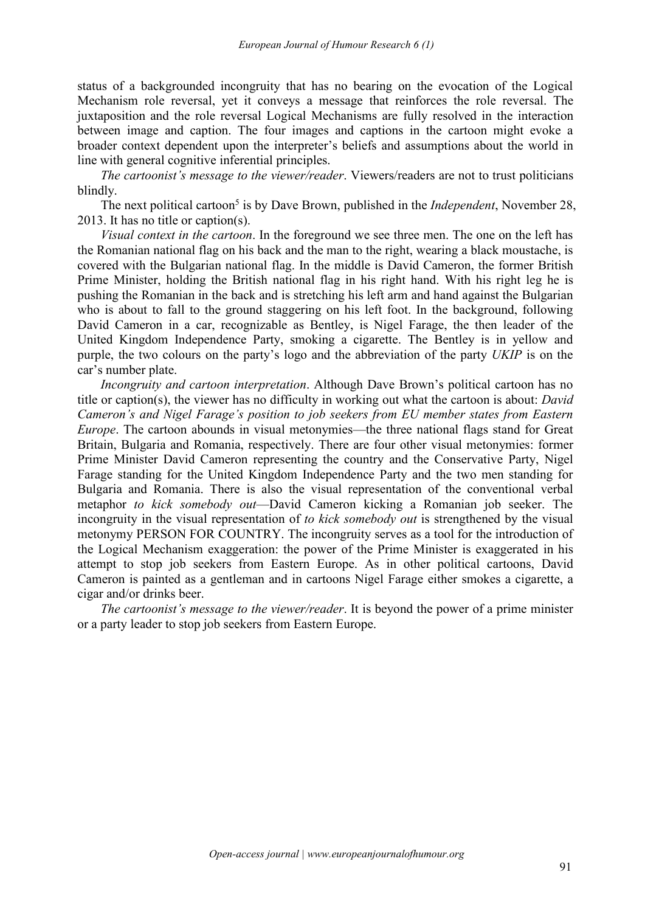status of a backgrounded incongruity that has no bearing on the evocation of the Logical Mechanism role reversal, yet it conveys a message that reinforces the role reversal. The juxtaposition and the role reversal Logical Mechanisms are fully resolved in the interaction between image and caption. The four images and captions in the cartoon might evoke a broader context dependent upon the interpreter's beliefs and assumptions about the world in line with general cognitive inferential principles.

*The cartoonist's message to the viewer/reader*. Viewers/readers are not to trust politicians blindly.

The next political cartoon 5 is by Dave Brown, published in the *Independent*, November 28, 2013. It has no title or caption(s).

*Visual context in the cartoon*.In the foreground we see three men. The one on the left has the Romanian national flag on his back and the man to the right, wearing a black moustache, is covered with the Bulgarian national flag. In the middle is David Cameron, the former British Prime Minister, holding the British national flag in his right hand. With his right leg he is pushing the Romanian in the back and is stretching his left arm and hand against the Bulgarian who is about to fall to the ground staggering on his left foot. In the background, following David Cameron in a car, recognizable as Bentley, is Nigel Farage, the then leader of the United Kingdom Independence Party, smoking a cigarette. The Bentley is in yellow and purple, the two colours on the party's logo and the abbreviation of the party *UKIP* is on the car's number plate.

*Incongruity and cartoon interpretation*. Although Dave Brown's political cartoon has no title or caption(s), the viewer has no difficulty in working out what the cartoon is about: *David Cameron's and Nigel Farage's position to job seekers from EU member states from Eastern Europe*. The cartoon abounds in visual metonymies—the three national flags stand for Great Britain, Bulgaria and Romania, respectively. There are four other visual metonymies: former Prime Minister David Cameron representing the country and the Conservative Party, Nigel Farage standing for the United Kingdom Independence Party and the two men standing for Bulgaria and Romania. There is also the visual representation of the conventional verbal metaphor *to kick somebody out*—David Cameron kicking a Romanian job seeker. The incongruity in the visual representation of *to kick somebody out* is strengthened by the visual metonymy PERSON FOR COUNTRY. The incongruity serves as a tool for the introduction of the Logical Mechanism exaggeration: the power of the Prime Minister is exaggerated in his attempt to stop job seekers from Eastern Europe. As in other political cartoons, David Cameron is painted as a gentleman and in cartoons Nigel Farage either smokes a cigarette, a cigar and/or drinks beer.

*The cartoonist's message to the viewer/reader*. It is beyond the power of a prime minister or a party leader to stop job seekers from Eastern Europe.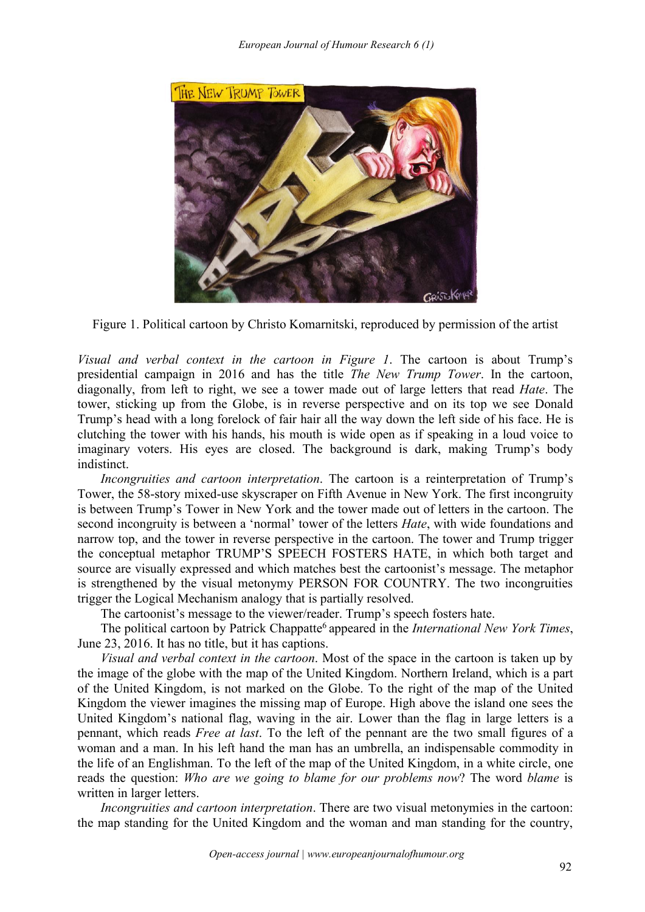

Figure 1. Political cartoon by Christo Komarnitski, reproduced by permission of the artist

*Visual and verbal context in the cartoon in Figure 1*. The cartoon is about Trump's presidential campaign in 2016 and has the title *The New Trump Tower*. In the cartoon, diagonally, from left to right, we see a tower made out of large letters that read *Hate*. The tower, sticking up from the Globe, is in reverse perspective and on its top we see Donald Trump's head with a long forelock of fair hair all the way down the left side of his face. He is clutching the tower with his hands, his mouth is wide open as if speaking in a loud voice to imaginary voters. His eyes are closed. The background is dark, making Trump's body indistinct.

*Incongruities and cartoon interpretation*. The cartoon is a reinterpretation of Trump's Tower, the 58-story mixed-use skyscraper on Fifth Avenue in New York. The first incongruity is between Trump's Tower in New York and the tower made out of letters in the cartoon. The second incongruity is between a 'normal' tower of the letters *Hate*, with wide foundations and narrow top, and the tower in reverse perspective in the cartoon. The tower and Trump trigger the conceptual metaphor TRUMP'S SPEECH FOSTERS HATE, in which both target and source are visually expressed and which matches best the cartoonist's message. The metaphor is strengthened by the visual metonymy PERSON FOR COUNTRY. The two incongruities trigger the Logical Mechanism analogy that is partially resolved.

The cartoonist's message to the viewer/reader. Trump's speech fosters hate.

The political cartoon by Patrick Chappatte <sup>6</sup> appeared in the *International New York Times*, June 23, 2016. It has no title, but it has captions.

*Visual and verbal context in the cartoon*.Most of the space in the cartoon is taken up by the image of the globe with the map of the United Kingdom. Northern Ireland, which is a part of the United Kingdom, is not marked on the Globe. To the right of the map of the United Kingdom the viewer imagines the missing map of Europe. High above the island one sees the United Kingdom's national flag, waving in the air. Lower than the flag in large letters is a pennant, which reads *Free at last*. To the left of the pennant are the two small figures of a woman and a man. In his left hand the man has an umbrella, an indispensable commodity in the life of an Englishman. To the left of the map of the United Kingdom, in a white circle, one reads the question: *Who are we going to blame for our problems now*? The word *blame* is written in larger letters.

*Incongruities and cartoon interpretation*. There are two visual metonymies in the cartoon: the map standing for the United Kingdom and the woman and man standing for the country,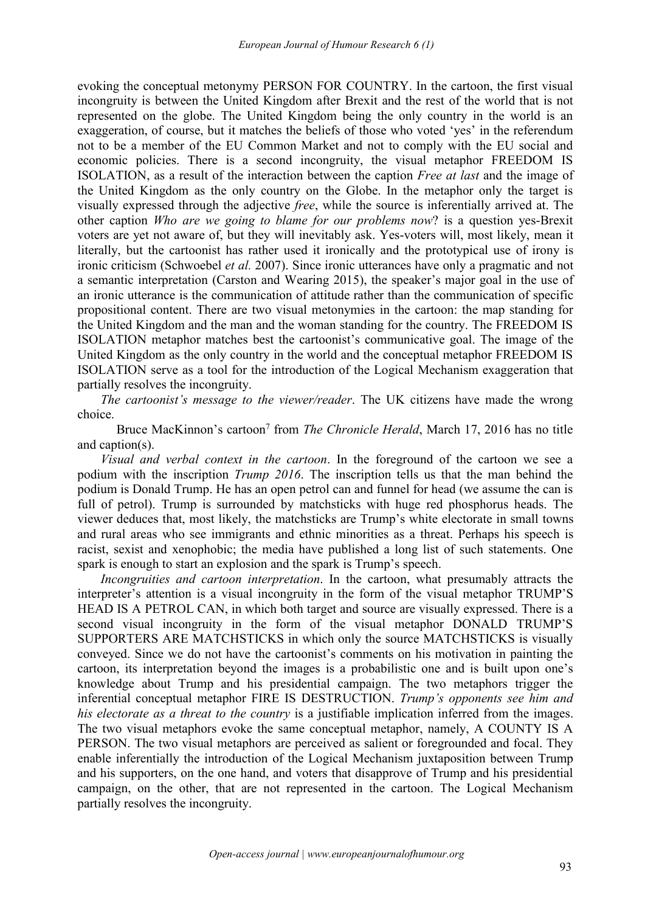evoking the conceptual metonymy PERSON FOR COUNTRY. In the cartoon, the first visual incongruity is between the United Kingdom after Brexit and the rest of the world that is not represented on the globe. The United Kingdom being the only country in the world is an exaggeration, of course, but it matches the beliefs of those who voted 'yes' in the referendum not to be a member of the EU Common Market and not to comply with the EU social and economic policies. There is a second incongruity, the visual metaphor FREEDOM IS ISOLATION, as a result of the interaction between the caption *Free at last* and the image of the United Kingdom as the only country on the Globe.In the metaphor only the target is visually expressed through the adjective *free*, while the source isinferentially arrived at. The other caption *Who are we going to blame for our problems now*? is a question yes-Brexit voters are yet not aware of, but they will inevitably ask. Yes-voters will, most likely, mean it literally, but the cartoonist has rather used it ironically and the prototypical use of irony is ironic criticism (Schwoebel *et al.* 2007). Since ironic utterances have only a pragmatic and not a semantic interpretation (Carston and Wearing 2015), the speaker's major goal in the use of an ironic utterance is the communication of attitude rather than the communication of specific propositional content. There are two visual metonymies in the cartoon: the map standing for the United Kingdom and the man and the woman standing for the country. The FREEDOM IS ISOLATION metaphor matches best the cartoonist's communicative goal. The image of the United Kingdom as the only country in the world and the conceptual metaphor FREEDOM IS ISOLATION serve as a tool for the introduction of the Logical Mechanism exaggeration that partially resolves the incongruity.

*The cartoonist's message to the viewer/reader*. The UK citizens have made the wrong

choice.Bruce MacKinnon's cartoon <sup>7</sup> from *The Chronicle Herald*, March 17, 2016 has no title and caption(s).

*Visual and verbal context in the cartoon*. In the foreground of the cartoon we see a podium with the inscription *Trump* 2016. The inscription tells us that the man behind the podium is Donald Trump. He has an open petrol can and funnel for head (we assume the can is full of petrol). Trump is surrounded by matchsticks with huge red phosphorus heads. The viewer deduces that, most likely, the matchsticks are Trump's white electorate in small towns and rural areas who see immigrants and ethnic minorities as a threat. Perhaps his speech is racist, sexist and xenophobic; the media have published a long list of such statements. One spark is enough to start an explosion and the spark is Trump's speech.

*Incongruities and cartoon interpretation*. In the cartoon, what presumably attracts the interpreter's attention is a visual incongruity in the form of the visual metaphor TRUMP'S HEAD IS A PETROL CAN, in which both target and source are visually expressed. There is a second visual incongruity in the form of the visual metaphor DONALD TRUMP'S SUPPORTERS ARE MATCHSTICKS inwhich only the source MATCHSTICKS is visually conveyed. Since we do not have the cartoonist's comments on his motivation in painting the cartoon, its interpretation beyond the images is a probabilistic one and is built upon one's knowledge about Trump and his presidential campaign. The two metaphors trigger the inferential conceptual metaphor FIRE IS DESTRUCTION. *Trump's opponents see him and his electorate as a threat to the country* is a justifiable implication inferred from the images. The two visual metaphors evoke the same conceptual metaphor, namely, A COUNTY IS A PERSON. The two visual metaphors are perceived as salient or foregrounded and focal. They enable inferentially the introduction of the Logical Mechanism juxtaposition between Trump and his supporters, on the one hand, and voters that disapprove of Trump and his presidential campaign, on the other, that are not represented in the cartoon. The Logical Mechanism partially resolves the incongruity.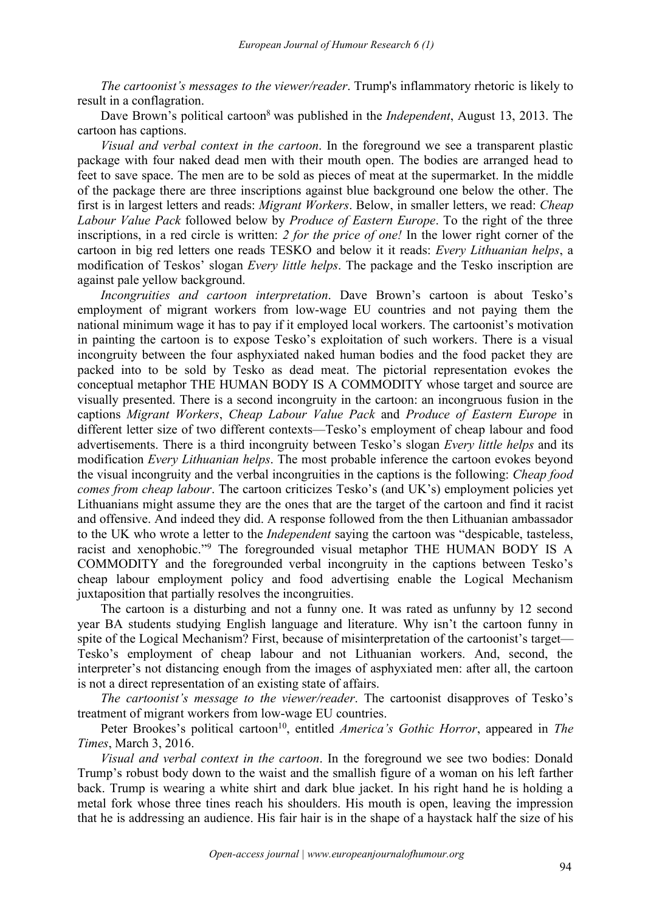*The cartoonist's messages to the viewer/reader*. Trump's inflammatory rhetoric is likely to result in a conflagration.

Dave Brown's political cartoon <sup>8</sup> was published in the *Independent*, August 13, 2013. The cartoon has captions.

*Visual and verbal context in the cartoon*.In the foreground we see a transparent plastic package with four naked dead men with their mouth open. The bodies are arranged head to feet to save space. The men are to be sold as pieces of meat at the supermarket. In the middle of the package there are three inscriptions against blue background one below the other. The first is in largest letters and reads: *Migrant Workers*. Below, in smallerletters, we read: *Cheap Labour Value Pack* followed below by *Produce of Eastern Europe*. To the right of the three inscriptions, in a red circle iswritten: *2 for the price of one!* In the lower right corner of the cartoon in big red letters one reads TESKO and below it it reads: *Every Lithuanian helps*, a modification of Teskos' slogan *Every little helps*. The package and the Tesko inscription are against pale yellow background.

*Incongruities and cartoon interpretation*. Dave Brown's cartoon is about Tesko's employment of migrant workers from low-wage EU countries and not paying them the national minimum wage it has to pay if it employed local workers. The cartoonist's motivation in painting the cartoon is to expose Tesko's exploitation of such workers. There is a visual incongruity between the four asphyxiated naked human bodies and the food packet they are packed into to be sold by Tesko as dead meat. The pictorial representation evokes the conceptual metaphor THE HUMAN BODY IS A COMMODITY whose target and source are visually presented. There is a second incongruity in the cartoon: an incongruous fusion in the captions *Migrant Workers*, *Cheap Labour Value Pack* and *Produce of Eastern Europe* in different letter size of two different contexts—Tesko's employment of cheap labour and food advertisements. There is a third incongruity between Tesko's slogan *Every little helps* and its modification *Every Lithuanian helps*. The most probable inference the cartoon evokes beyond the visual incongruity and the verbal incongruities in the captions is the following: *Cheap food comes from cheap labour*. The cartoon criticizes Tesko's (and UK's) employment policies yet Lithuanians might assume they are the ones that are the target of the cartoon and find it racist and offensive. And indeed they did. A response followed from the then Lithuanian ambassador to the UK who wrote a letter to the *Independent* saying the cartoon was "despicable, tasteless, racist and xenophobic." <sup>9</sup> The foregrounded visual metaphor THE HUMAN BODY IS A COMMODITY and the foregrounded verbal incongruity in the captions between Tesko's cheap labour employment policy and food advertising enable the Logical Mechanism juxtaposition that partially resolves the incongruities.

The cartoon is a disturbing and not a funny one. It was rated as unfunny by 12 second year BA students studying English language and literature. Why isn't the cartoon funny in spite of the Logical Mechanism? First, because of misinterpretation of the cartoonist's target— Tesko's employment of cheap labour and not Lithuanian workers. And, second, the interpreter's not distancing enough from the images of asphyxiated men: after all, the cartoon is not a direct representation of an existing state of affairs.

*The cartoonist's message to the viewer/reader*. The cartoonist disapproves of Tesko's treatment of migrant workers from low-wage EU countries.

Peter Brookes's political cartoon 10 , entitled *America's Gothic Horror*, appeared in *The Times*, March 3, 2016.

*Visual and verbal context in the cartoon*. In the foreground we see two bodies: Donald Trump's robust body down to the waist and the smallish figure of a woman on his left farther back. Trump is wearing a white shirt and dark blue jacket. In his right hand he is holding a metal fork whose three tines reach his shoulders. His mouth is open, leaving the impression that he is addressing an audience. His fair hair is in the shape of a haystack half the size of his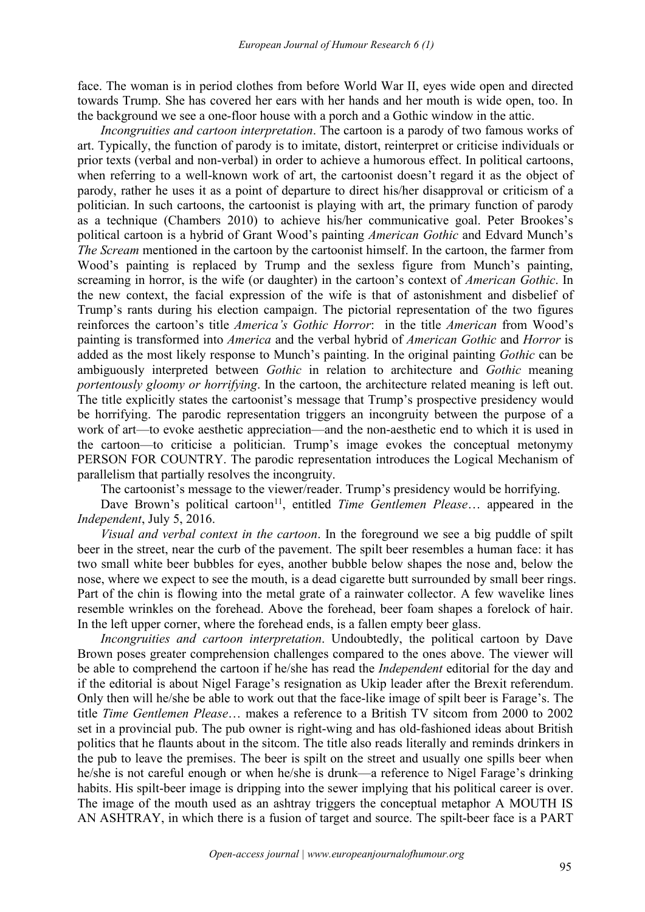face. The woman is in period clothes from before World War II, eyes wide open and directed towards Trump. She has covered her ears with her hands and her mouth is wide open, too. In the background we see a one-floor house with a porch and a Gothic window in the attic.

*Incongruities and cartoon interpretation*. The cartoon is a parody of two famous works of art. Typically, the function of parody is to imitate, distort, reinterpret or criticise individuals or prior texts (verbal and non-verbal) in order to achieve a humorous effect. In political cartoons, when referring to a well-known work of art, the cartoonist doesn't regard it as the object of parody, rather he uses it as a point of departure to direct his/her disapproval or criticism of a politician. In such cartoons, the cartoonist is playing with art, the primary function of parody as a technique (Chambers 2010) to achieve his/her communicative goal. Peter Brookes's political cartoon is a hybrid of Grant Wood's painting *American Gothic* and Edvard Munch's *The Scream* mentioned in the cartoon by the cartoonist himself. In the cartoon, the farmer from Wood's painting is replaced by Trump and the sexless figure from Munch's painting, screaming in horror, is the wife (or daughter) in the cartoon's context of *American Gothic*. In the new context, the facial expression of the wife is that of astonishment and disbelief of Trump's rants during his election campaign. The pictorial representation of the two figures reinforces the cartoon's title *America's Gothic Horror*: in the title *American* from Wood's painting is transformed into *America* and the verbal hybrid of *American Gothic* and *Horror* is added as the most likely response to Munch's painting. In the original painting *Gothic* can be ambiguously interpreted between *Gothic* in relation to architecture and *Gothic* meaning *portentously gloomy or horrifying*. In the cartoon, the architecture related meaning is left out. The title explicitly states the cartoonist's message that Trump's prospective presidency would be horrifying. The parodic representation triggers an incongruity between the purpose of a work of art—to evoke aesthetic appreciation—and the non-aesthetic end to which it is used in the cartoon—to criticise a politician. Trump's image evokes the conceptual metonymy PERSON FOR COUNTRY. The parodic representation introduces the Logical Mechanism of parallelism that partially resolves the incongruity.

The cartoonist's message to the viewer/reader. Trump's presidency would be horrifying.

Dave Brown's political cartoon<sup>11</sup>, entitled *Time Gentlemen Please*... appeared in the *Independent*, July 5, 2016.

*Visual and verbal context in the cartoon*.In the foreground we see a big puddle of spilt beer in the street, near the curb of the pavement. The spilt beer resembles a human face: it has two small white beer bubbles for eyes, another bubble below shapes the nose and, below the nose, where we expect to see the mouth, is a dead cigarette butt surrounded by small beer rings. Part of the chin is flowing into the metal grate of a rainwater collector. A few wavelike lines resemble wrinkles on the forehead. Above the forehead, beer foam shapes a forelock of hair. In the left upper corner, where the forehead ends, is a fallen empty beer glass.

*Incongruities and cartoon interpretation*. Undoubtedly, the political cartoon by Dave Brown poses greater comprehension challenges compared to the ones above. The viewer will be able to comprehend the cartoon if he/she has read the *Independent* editorial for the day and if the editorial is about Nigel Farage's resignation as Ukip leader after the Brexit referendum. Only then will he/she be able to work out that the face-like image of spilt beer is Farage's. The title *Time Gentlemen Please*… makes a reference to a British TV sitcom from 2000 to 2002 set in a provincial pub. The pub owner is right-wing and has old-fashioned ideas about British politics that he flaunts about in the sitcom. The title also reads literally and reminds drinkers in the pub to leave the premises. The beer is spilt on the street and usually one spills beer when he/she is not careful enough or when he/she is drunk—a reference to Nigel Farage's drinking habits. His spilt-beer image is dripping into the sewer implying that his political career is over. The image of the mouth used as an ashtray triggers the conceptual metaphor A MOUTH IS AN ASHTRAY, in which there is a fusion of target and source. The spilt-beer face is a PART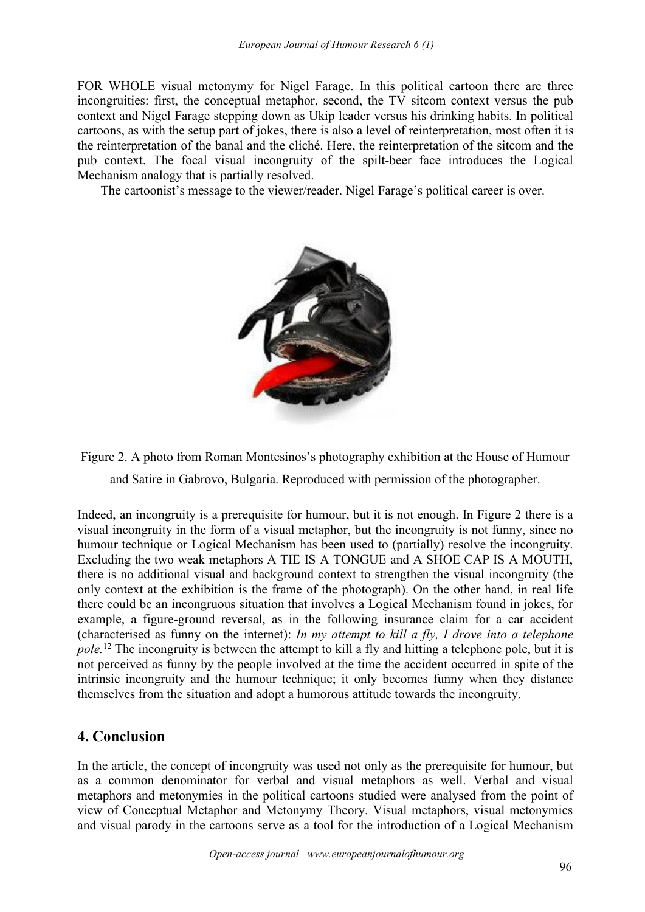FOR WHOLE visual metonymy for Nigel Farage. In this political cartoon there are three incongruities: first, the conceptual metaphor, second, the TV sitcom context versus the pub context and Nigel Farage stepping down as Ukip leader versus his drinking habits. In political cartoons, as with the setup part of jokes, there is also a level of reinterpretation, most often it is the reinterpretation of the banal and the cliché. Here, the reinterpretation of the sitcom and the pub context. The focal visual incongruity of the spilt-beer face introduces the Logical Mechanism analogy that is partially resolved.

The cartoonist's message to the viewer/reader. Nigel Farage's political career is over.



Figure 2. A photo from Roman Montesinos's photography exhibition at the House of Humour and Satire in Gabrovo, Bulgaria. Reproduced with permission of the photographer.

Indeed, an incongruity is a prerequisite for humour, but it is not enough. In Figure 2 there is a visual incongruity in the form of a visual metaphor, but the incongruity is not funny, since no humour technique or Logical Mechanism has been used to (partially) resolve the incongruity. Excluding the two weak metaphors A TIE IS A TONGUE and A SHOE CAP IS A MOUTH, there is no additional visual and background context to strengthen the visual incongruity (the only context at the exhibition is the frame of the photograph). On the other hand, in real life there could be an incongruous situation that involves a Logical Mechanism found in jokes, for example, a figure-ground reversal, as in the following insurance claim for a car accident (characterised as funny on the internet): *In my attempt to kill a fly, I drove into a telephone pole.*<sup>12</sup> The incongruity is between the attempt to kill a fly and hitting a telephone pole, but it is not perceived as funny by the people involved at the time the accident occurred in spite of the intrinsic incongruity and the humour technique; it only becomes funny when they distance themselves from the situation and adopt a humorous attitude towards the incongruity.

# **4. Conclusion**

In the article, the concept of incongruity was used not only as the prerequisite for humour, but as a common denominator for verbal and visual metaphors as well. Verbal and visual metaphors and metonymies in the political cartoons studied were analysed from the point of view of Conceptual Metaphor and Metonymy Theory. Visual metaphors, visual metonymies and visual parody in the cartoons serve as a tool for the introduction of a Logical Mechanism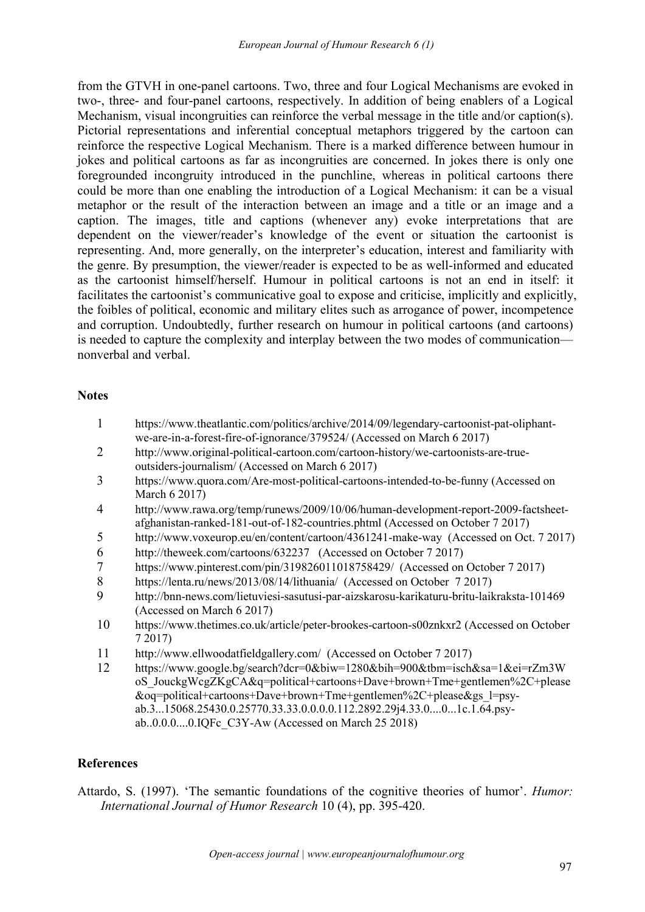from the GTVH in one-panel cartoons. Two, three and four Logical Mechanisms are evoked in two-, three- and four-panel cartoons, respectively. In addition of being enablers of a Logical Mechanism, visual incongruities can reinforce the verbal message in the title and/or caption(s). Pictorial representations and inferential conceptual metaphors triggered by the cartoon can reinforce the respective Logical Mechanism. There is a marked difference between humour in jokes and political cartoons as far as incongruities are concerned. In jokes there is only one foregrounded incongruity introduced in the punchline, whereas in political cartoons there could be more than one enabling the introduction of a Logical Mechanism: it can be a visual metaphor or the result of the interaction between an image and a title or an image and a caption. The images, title and captions (whenever any) evoke interpretations that are dependent on the viewer/reader's knowledge of the event or situation the cartoonist is representing. And, more generally, on the interpreter's education, interest and familiarity with the genre. By presumption, the viewer/reader is expected to be as well-informed and educated as the cartoonist himself/herself. Humour in political cartoons is not an end in itself: it facilitates the cartoonist's communicative goal to expose and criticise, implicitly and explicitly, the foibles of political, economic and military elites such as arrogance of power, incompetence and corruption. Undoubtedly, further research on humour in political cartoons (and cartoons) is needed to capture the complexity and interplay between the two modes of communication nonverbal and verbal.

#### **Notes**

- 1 [https://www.theatlantic.com/politics/archive/2014/09/legendary-cartoonist-pat-oliphant](https://www.theatlantic.com/politics/archive/2014/09/legendary-cartoonist-pat-oliphant-we-are-in-a-forest-fire-of-ignorance/379524/) we-are-in-a-forest-fire-of-ignorance/379524/ (Accessed on March 6 2017)
- 2 [http://www.original-political-cartoon.com/cartoon-history/we-cartoonists-are-true](http://www.original-political-cartoon.com/cartoon-history/we-cartoonists-are-true-outsiders-journalism/) outsiders-journalism/ (Accessed on March 6 2017)
- 3 <https://www.quora.com/Are-most-political-cartoons-intended-to-be-funny> (Accessed on March 6 2017)
- 4 [http://www.rawa.org/temp/runews/2009/10/06/human-development-report-2009-factsheet](http://www.rawa.org/temp/runews/2009/10/06/human-development-report-2009-factsheet-afghanistan-ranked-181-out-of-182-countries.phtml) afghanistan-ranked-181-out-of-182-countries.phtml (Accessed on October 7 2017)
- 5 <http://www.voxeurop.eu/en/content/cartoon/4361241-make-way> (Accessed on Oct. 7 2017)
- 6 [http://theweek.com/cartoons/632237](http://theweek.com/cartoons/632237%20%20) (Accessed on October 7 2017)
- 7 <https://www.pinterest.com/pin/319826011018758429/> (Accessed on October 7 2017)
- 8 <https://lenta.ru/news/2013/08/14/lithuania/> (Accessed on October 7 2017)
- 9 <http://bnn-news.com/lietuviesi-sasutusi-par-aizskarosu-karikaturu-britu-laikraksta-101469> (Accessed on March 6 2017)
- 10 <https://www.thetimes.co.uk/article/peter-brookes-cartoon-s00znkxr2> (Accessed on October 7 2017)
- 11 <http://www.ellwoodatfieldgallery.com/> (Accessed on October 7 2017)
- 12 [https://www.google.bg/search?dcr=0&biw=1280&bih=900&tbm=isch&sa=1&ei=rZm3W](https://www.google.bg/search?dcr=0&biw=1280&bih=900&tbm=isch&sa=1&ei=rZm3WoS_JouckgWcgZKgCA&q=political+cartoons+Dave+brown+Tme+gentlemen%2C+please&oq=political+cartoons+Dave+brown+Tme+gentlemen%2C+please&gs_l=psy-ab.3...15068.25430.0.25770.33.33.0.0.0.0.112.2892.29j4.33.0....0...1c.1.64.psy-ab..0.0.0....0.IQFc_C3Y-Aw) oS\_JouckgWcgZKgCA&q=political+cartoons+Dave+brown+Tme+gentlemen%2C+please &oq=political+cartoons+Dave+brown+Tme+gentlemen%2C+please&gs\_l=psy ab.3...15068.25430.0.25770.33.33.0.0.0.0.112.2892.29j4.33.0....0...1c.1.64.psy ab..0.0.0....0.IQFc\_C3Y-Aw (Accessed on March 25 2018)

#### **References**

Attardo, S. (1997). 'The semantic foundations of the cognitive theories of humor'. *Humor: International Journal of Humor Research* 10 (4), pp. 395-420.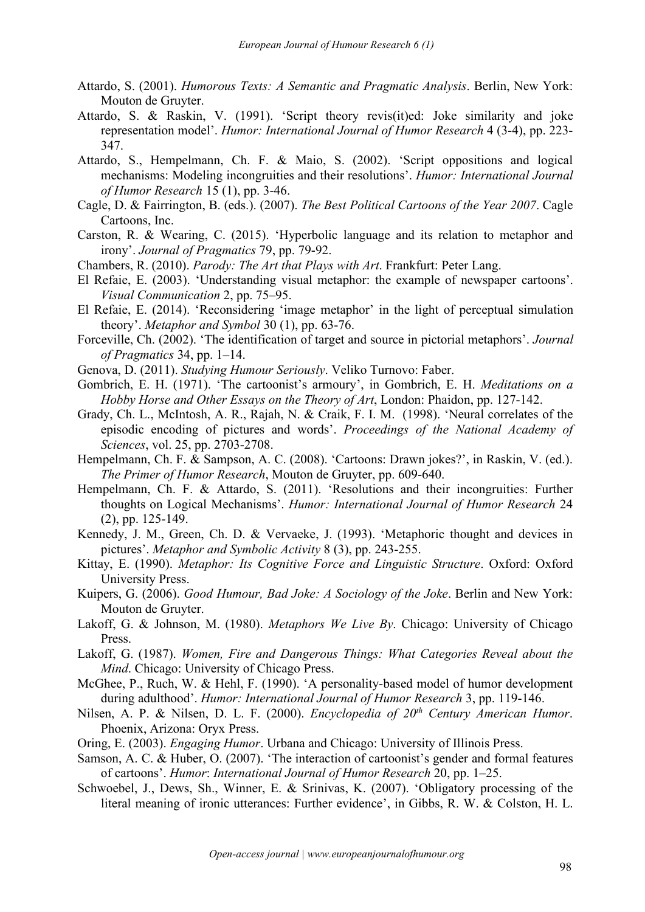- Attardo, S. (2001). *Humorous Texts: A Semantic and Pragmatic Analysis*. Berlin, New York: Mouton de Gruyter.<br>Attardo, S. & Raskin, V. (1991). 'Script theory revis(it)ed: Joke similarity and joke
- representation model'. *Humor: International Journal of Humor Research* 4 (3-4), pp.223- 347.
- Attardo, S., Hempelmann, Ch. F. & Maio, S. (2002). 'Script oppositions and logical mechanisms: Modeling incongruities and their resolutions'. *Humor: International Journal of Humor Research* 15 (1), pp. 3-46.
- Cagle, D. & Fairrington, B. (eds.). (2007). *The Best Political Cartoons of the Year 2007*. Cagle Cartoons, Inc.
- Carston, R. & Wearing, C. (2015). 'Hyperbolic language and its relation to metaphor and irony'. *Journal of Pragmatics* 79, pp. 79-92.
- Chambers, R. (2010). *Parody: The Art that Plays with Art*. Frankfurt: Peter Lang.
- El Refaie, E. (2003). 'Understanding visual metaphor: the example of newspaper cartoons'. *Visual Communication* 2, pp. 75–95.
- El Refaie, E. (2014). 'Reconsidering 'image metaphor' in the light of perceptual simulation theory'. *Metaphor and Symbol* 30 (1), pp. 63-76.
- Forceville, Ch. (2002). 'The identification of target and source in pictorial metaphors'. *Journal of Pragmatics* 34, pp. 1–14.
- Genova, D. (2011). *Studying Humour Seriously*. Veliko Turnovo: Faber.
- Gombrich, E. H. (1971). 'The cartoonist's armoury', in Gombrich, E. H. *Meditations on a Hobby Horse and Other Essays on the Theory of Art*, London: Phaidon, pp. 127-142.
- Grady, Ch. L., McIntosh, A. R., Rajah, N. & Craik, F. I. M. (1998). 'Neural correlates of the episodic encoding of pictures and words'. *Proceedings of the National Academy of Sciences*, vol. 25, pp. 2703-2708.
- Hempelmann, Ch. F. & Sampson, A. C. (2008). 'Cartoons: Drawn jokes?', in Raskin, V. (ed.). *The Primer of Humor Research*, Mouton de Gruyter, pp. 609-640.
- Hempelmann, Ch. F. & Attardo, S. (2011). 'Resolutions and their incongruities: Further thoughts on Logical Mechanisms'. *Humor: International Journal of Humor Research* 24 (2), pp. 125-149.
- Kennedy, J. M., Green, Ch. D. & Vervaeke, J. (1993). 'Metaphoric thought and devices in pictures'. *Metaphor and Symbolic Activity* 8 (3), pp. 243-255.
- Kittay, E. (1990). *Metaphor: Its Cognitive Force and Linguistic Structure*. Oxford: Oxford University Press.
- Kuipers, G. (2006). *Good Humour, Bad Joke: A Sociology of the Joke*. Berlin and New York: Mouton de Gruyter.<br>Lakoff, G. & Johnson, M. (1980). *Metaphors We Live By*. Chicago: University of Chicago
- Press.
- Lakoff, G. (1987). *Women, Fire and Dangerous Things: What Categories Reveal about the Mind*. Chicago: University of Chicago Press.
- McGhee, P., Ruch, W. & Hehl, F. (1990). 'A personality-based model of humor development during adulthood'. *Humor: International Journal of Humor Research* 3, pp. 119-146.
- Nilsen, A. P. & Nilsen, D. L. F. (2000). *Encyclopedia of 20 th Century American Humor*. Phoenix, Arizona: Oryx Press.
- Oring, E. (2003). *Engaging Humor*. Urbana and Chicago: University of Illinois Press.
- Samson, A. C. & Huber, O. (2007). 'The interaction of cartoonist's gender and formal features of cartoons'. *Humor*: *International Journal of Humor Research* 20, pp. 1–25.
- Schwoebel, J., Dews, Sh., Winner, E. & Srinivas, K. (2007). 'Obligatory processing of the literal meaning of ironic utterances: Further evidence', in Gibbs, R. W. & Colston, H. L.